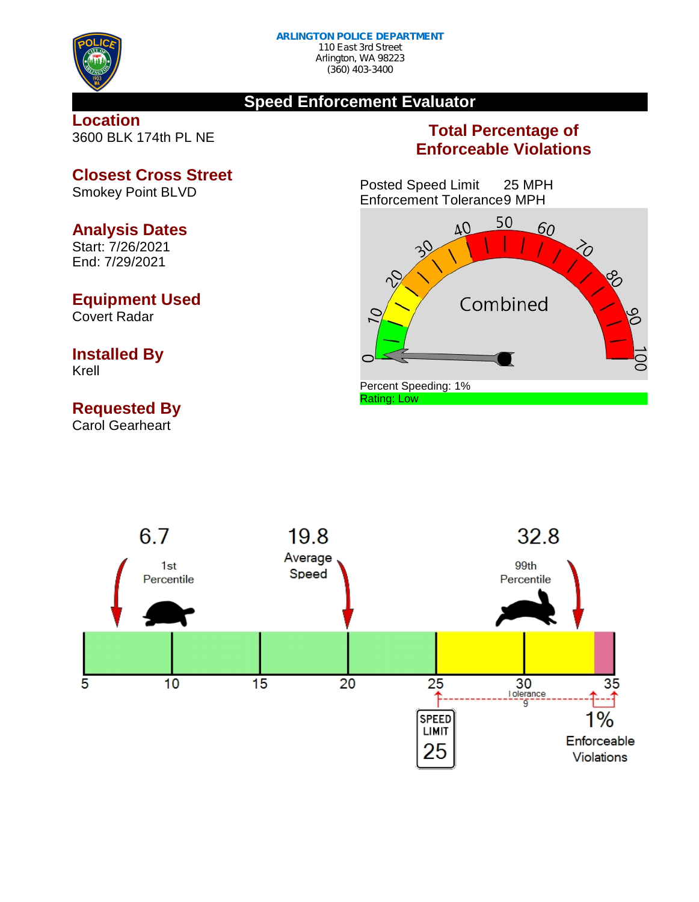

#### **Speed Enforcement Evaluator**

#### **Location** 3600 BLK 174th PL NE

### **Total Percentage of Enforceable Violations**

Posted Speed Limit 25 MPH Enforcement Tolerance9 MPH





**Closest Cross Street** Smokey Point BLVD

#### **Analysis Dates**

Start: 7/26/2021 End: 7/29/2021

#### **Equipment Used**

Covert Radar

# **Installed By**

Krell

## **Requested By**

Carol Gearheart